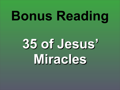# **Bonus Reading**

## **35 of Jesus' Miracles**

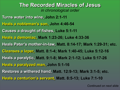**Turns water into wine, John 2:1-11 Heals a nobleman's son, John 4:46-54 Causes a draught of fishes, Luke 5:1-11 Heals a demoniac, Mark 1:23-26; Luke 4:33-36 Heals Peter's mother-in-law, Matt. 8:14-17; Mark 1:29-31; etc. Cleanses a leper, Matt. 8:1-4; Mark 1:40-45; Luke 5:12-16 Heals a paralytic, Matt. 9:1-8; Mark 2:1-12; Luke 5:17-26 Heals a paralyzed man, John 5:1-16 Restores a withered hand, Matt. 12:9-13; Mark 3:1-5; etc. Heals a centurion's servant, Matt. 8:5-13; Luke 7:1-10**

## **The Recorded Miracles of Jesus** *in chronological order*

*Continued on next slide*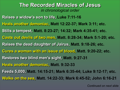**Raises a widow's son to life, Luke 7:11-16 Heals another demoniac, Matt 12:22-37; Mark 3:11; etc. Stills a tempest, Matt. 8:23-27; 14:32; Mark 4:35-41; etc. Casts out devils of two men, Matt. 8:28-34; Mark 5:1-20; etc. Raises the dead daughter of Jairus, Matt. 9:18-26; etc. Cures a woman with an issue of blood, Matt. 9:20-22; etc. Restores two blind men's sight, Matt. 9:27-31 Heals another demoniac, Matt. 9:32-33 Feeds 5,000, Matt. 14:15-21; Mark 6:35-44; Luke 9:12-17; etc. Walks on the sea, Matt. 14:22-33; Mark 6:45-52; John 6:16-21**

## **The Recorded Miracles of Jesus** *in chronological order*

*Continued on next slide*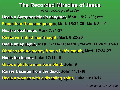- **Heals a Syrophenician's daughter, Matt. 15:21-28; etc. Feeds four thousand people, Matt. 15:32-39; Mark 8:1-9**
- **Heals a deaf mute, Mark 7:31-37**
- **Restores a blind man's sight, Mark 8:22-26**
- **Heals an epileptic, Matt. 17:14-21; Mark 9:14-29; Luke 9:37-43 Obtains tribute money from a fish's mouth, Matt. 17:24-27**
- 
- **Heals ten lepers, Luke 17:11-19**
- **Gives sight to a man born blind, John 9**
- **Raises Lazarus from the dead, John 11:1-46**
- **Heals a woman with a disabling spirit, Luke 13:10-17**
- 

## **The Recorded Miracles of Jesus** *in chronological order*

*Continued on next slide*